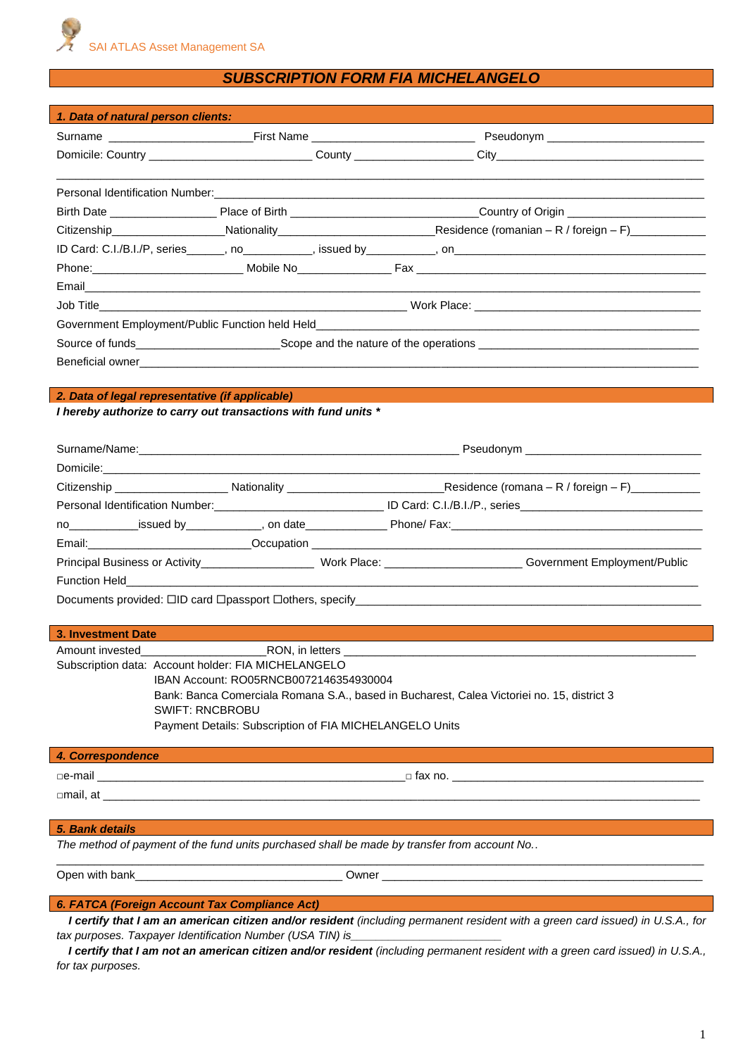# *SUBSCRIPTION FORM FIA MICHELANGELO*

|                                                          | 1. Data of natural person clients: <b>William Street Street Street Street Street Street Street Street Street Street</b> |                                                                                                                                                                                                                                |
|----------------------------------------------------------|-------------------------------------------------------------------------------------------------------------------------|--------------------------------------------------------------------------------------------------------------------------------------------------------------------------------------------------------------------------------|
|                                                          |                                                                                                                         |                                                                                                                                                                                                                                |
|                                                          |                                                                                                                         |                                                                                                                                                                                                                                |
|                                                          |                                                                                                                         |                                                                                                                                                                                                                                |
|                                                          |                                                                                                                         |                                                                                                                                                                                                                                |
|                                                          |                                                                                                                         |                                                                                                                                                                                                                                |
|                                                          |                                                                                                                         |                                                                                                                                                                                                                                |
|                                                          |                                                                                                                         |                                                                                                                                                                                                                                |
|                                                          |                                                                                                                         |                                                                                                                                                                                                                                |
|                                                          |                                                                                                                         |                                                                                                                                                                                                                                |
|                                                          |                                                                                                                         |                                                                                                                                                                                                                                |
|                                                          |                                                                                                                         | Source of funds___________________________Scope and the nature of the operations _____________________________                                                                                                                 |
|                                                          |                                                                                                                         | Beneficial owner experience and the set of the set of the set of the set of the set of the set of the set of the set of the set of the set of the set of the set of the set of the set of the set of the set of the set of the |
|                                                          |                                                                                                                         |                                                                                                                                                                                                                                |
|                                                          | I hereby authorize to carry out transactions with fund units *                                                          |                                                                                                                                                                                                                                |
|                                                          |                                                                                                                         |                                                                                                                                                                                                                                |
|                                                          |                                                                                                                         |                                                                                                                                                                                                                                |
|                                                          |                                                                                                                         | Personal Identification Number:<br>1D Card: C.I./B.I./P., series  2010 - 2021                                                                                                                                                  |
|                                                          |                                                                                                                         | no _____________issued by ______________, on date________________Phone/ Fax: __________________________________                                                                                                                |
|                                                          |                                                                                                                         |                                                                                                                                                                                                                                |
|                                                          |                                                                                                                         | Principal Business or Activity_____________________Work Place: _______________________Government Employment/Public                                                                                                             |
| Function Held <b>Contract Contract Contract Contract</b> |                                                                                                                         |                                                                                                                                                                                                                                |
|                                                          |                                                                                                                         |                                                                                                                                                                                                                                |
|                                                          |                                                                                                                         |                                                                                                                                                                                                                                |
| 3. Investment Date                                       |                                                                                                                         |                                                                                                                                                                                                                                |
| Amount invested                                          | RON, in letters                                                                                                         |                                                                                                                                                                                                                                |
|                                                          | Subscription data: Account holder: FIA MICHELANGELO<br>IBAN Account: RO05RNCB0072146354930004                           |                                                                                                                                                                                                                                |
|                                                          |                                                                                                                         | Bank: Banca Comerciala Romana S.A., based in Bucharest, Calea Victoriei no. 15, district 3                                                                                                                                     |
|                                                          | <b>SWIFT: RNCBROBU</b>                                                                                                  |                                                                                                                                                                                                                                |
|                                                          | Payment Details: Subscription of FIA MICHELANGELO Units                                                                 |                                                                                                                                                                                                                                |
| 4. Correspondence                                        |                                                                                                                         | and the state of the state of the state of the state of the state of the state of the state of the state of th                                                                                                                 |
|                                                          |                                                                                                                         |                                                                                                                                                                                                                                |
|                                                          |                                                                                                                         |                                                                                                                                                                                                                                |
|                                                          |                                                                                                                         |                                                                                                                                                                                                                                |
|                                                          |                                                                                                                         |                                                                                                                                                                                                                                |
| 5. Bank details                                          |                                                                                                                         |                                                                                                                                                                                                                                |
|                                                          | The method of payment of the fund units purchased shall be made by transfer from account No                             |                                                                                                                                                                                                                                |

## *6. FATCA (Foreign Account Tax Compliance Act)*

*I certify that I am an american citizen and/or resident (including permanent resident with a green card issued) in U.S.A., for tax purposes. Taxpayer Identification Number (USA TIN) is\_\_\_\_\_\_\_\_\_\_\_\_\_\_\_\_\_\_\_\_\_\_\_\_*

*I certify that I am not an american citizen and/or resident (including permanent resident with a green card issued) in U.S.A., for tax purposes.*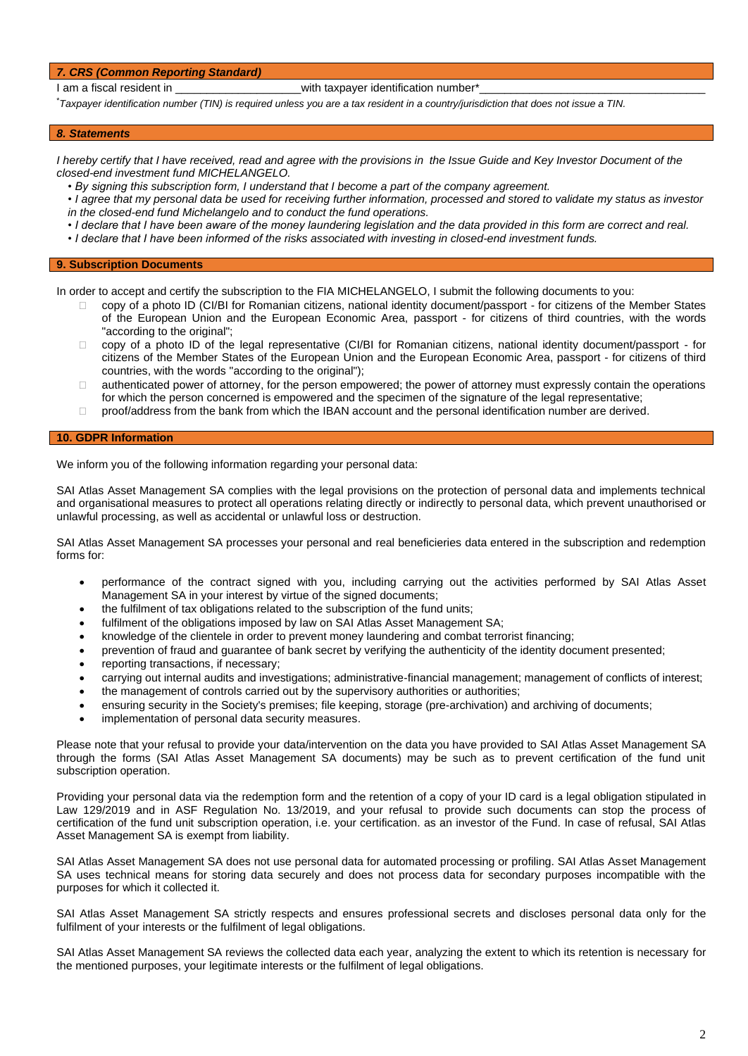#### *7. CRS (Common Reporting Standard)*

I am a fiscal resident in **Example 2** with taxpayer identification number\*

\**Taxpayer identification number (TIN) is required unless you are a tax resident in a country/jurisdiction that does not issue a TIN.*

### *8. Statements*

l

*I* hereby certify that I have received, read and agree with the provisions in the Issue Guide and Key Investor Document of the *closed-end investment fund MICHELANGELO.* 

- *By signing this subscription form, I understand that I become a part of the company agreement.*
- *I agree that my personal data be used for receiving further information, processed and stored to validate my status as investor in the closed-end fund Michelangelo and to conduct the fund operations.*
- *I declare that I have been aware of the money laundering legislation and the data provided in this form are correct and real.*
- *I declare that I have been informed of the risks associated with investing in closed-end investment funds.*

#### **9. Subscription Documents**

In order to accept and certify the subscription to the FIA MICHELANGELO, I submit the following documents to you:

- copy of a photo ID (CI/BI for Romanian citizens, national identity document/passport for citizens of the Member States of the European Union and the European Economic Area, passport - for citizens of third countries, with the words "according to the original":
- copy of a photo ID of the legal representative (CI/BI for Romanian citizens, national identity document/passport for citizens of the Member States of the European Union and the European Economic Area, passport - for citizens of third countries, with the words "according to the original");
- authenticated power of attorney, for the person empowered; the power of attorney must expressly contain the operations for which the person concerned is empowered and the specimen of the signature of the legal representative;
- $\Box$  proof/address from the bank from which the IBAN account and the personal identification number are derived.

#### **10. GDPR Information**

We inform you of the following information regarding your personal data:

SAI Atlas Asset Management SA complies with the legal provisions on the protection of personal data and implements technical and organisational measures to protect all operations relating directly or indirectly to personal data, which prevent unauthorised or unlawful processing, as well as accidental or unlawful loss or destruction.

SAI Atlas Asset Management SA processes your personal and real beneficieries data entered in the subscription and redemption forms for:

- performance of the contract signed with you, including carrying out the activities performed by SAI Atlas Asset Management SA in your interest by virtue of the signed documents;
- the fulfilment of tax obligations related to the subscription of the fund units;
- fulfilment of the obligations imposed by law on SAI Atlas Asset Management SA;
- knowledge of the clientele in order to prevent money laundering and combat terrorist financing;
- prevention of fraud and guarantee of bank secret by verifying the authenticity of the identity document presented;
- reporting transactions, if necessary;
- carrying out internal audits and investigations; administrative-financial management; management of conflicts of interest;
- the management of controls carried out by the supervisory authorities or authorities;
- ensuring security in the Society's premises; file keeping, storage (pre-archivation) and archiving of documents;
- implementation of personal data security measures.

Please note that your refusal to provide your data/intervention on the data you have provided to SAI Atlas Asset Management SA through the forms (SAI Atlas Asset Management SA documents) may be such as to prevent certification of the fund unit subscription operation.

Providing your personal data via the redemption form and the retention of a copy of your ID card is a legal obligation stipulated in Law 129/2019 and in ASF Regulation No. 13/2019, and your refusal to provide such documents can stop the process of certification of the fund unit subscription operation, i.e. your certification. as an investor of the Fund. In case of refusal, SAI Atlas Asset Management SA is exempt from liability.

SAI Atlas Asset Management SA does not use personal data for automated processing or profiling. SAI Atlas Asset Management SA uses technical means for storing data securely and does not process data for secondary purposes incompatible with the purposes for which it collected it.

SAI Atlas Asset Management SA strictly respects and ensures professional secrets and discloses personal data only for the fulfilment of your interests or the fulfilment of legal obligations.

SAI Atlas Asset Management SA reviews the collected data each year, analyzing the extent to which its retention is necessary for the mentioned purposes, your legitimate interests or the fulfilment of legal obligations.